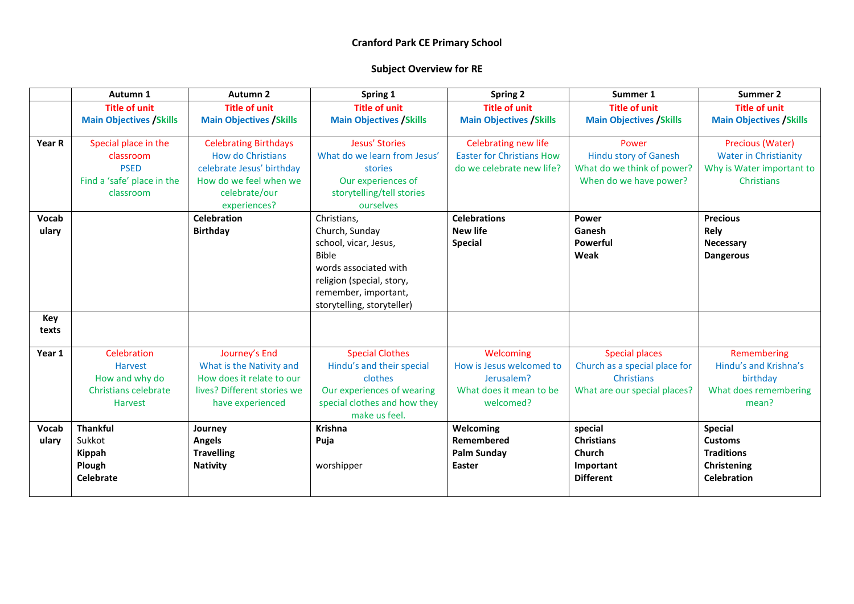|        | Autumn 1                        | Autumn <sub>2</sub>                                   | Spring 1                                      | <b>Spring 2</b>                  | Summer 1                        | Summer 2                        |
|--------|---------------------------------|-------------------------------------------------------|-----------------------------------------------|----------------------------------|---------------------------------|---------------------------------|
|        | <b>Title of unit</b>            | <b>Title of unit</b>                                  | <b>Title of unit</b>                          | <b>Title of unit</b>             | <b>Title of unit</b>            | <b>Title of unit</b>            |
|        | <b>Main Objectives / Skills</b> | <b>Main Objectives / Skills</b>                       | <b>Main Objectives / Skills</b>               | <b>Main Objectives / Skills</b>  | <b>Main Objectives / Skills</b> | <b>Main Objectives / Skills</b> |
|        |                                 |                                                       |                                               |                                  |                                 |                                 |
| Year R | Special place in the            | <b>Celebrating Birthdays</b>                          | Jesus' Stories                                | Celebrating new life             | Power                           | Precious (Water)                |
|        | classroom                       | <b>How do Christians</b>                              | What do we learn from Jesus'                  | <b>Easter for Christians How</b> | <b>Hindu story of Ganesh</b>    | <b>Water in Christianity</b>    |
|        | <b>PSED</b>                     | celebrate Jesus' birthday                             | stories                                       | do we celebrate new life?        | What do we think of power?      | Why is Water important to       |
|        | Find a 'safe' place in the      | How do we feel when we                                | Our experiences of                            |                                  | When do we have power?          | Christians                      |
|        | classroom                       | celebrate/our                                         | storytelling/tell stories                     |                                  |                                 |                                 |
|        |                                 | experiences?                                          | ourselves                                     |                                  |                                 |                                 |
| Vocab  |                                 | <b>Celebration</b>                                    | Christians,                                   | <b>Celebrations</b>              | <b>Power</b>                    | <b>Precious</b>                 |
| ulary  |                                 | <b>Birthday</b>                                       | Church, Sunday                                | <b>New life</b>                  | Ganesh                          | Rely                            |
|        |                                 |                                                       | school, vicar, Jesus,                         | <b>Special</b>                   | Powerful                        | Necessary                       |
|        |                                 |                                                       | <b>Bible</b>                                  |                                  | Weak                            | <b>Dangerous</b>                |
|        |                                 |                                                       | words associated with                         |                                  |                                 |                                 |
|        |                                 |                                                       | religion (special, story,                     |                                  |                                 |                                 |
|        |                                 |                                                       | remember, important,                          |                                  |                                 |                                 |
|        |                                 |                                                       | storytelling, storyteller)                    |                                  |                                 |                                 |
| Key    |                                 |                                                       |                                               |                                  |                                 |                                 |
| texts  |                                 |                                                       |                                               |                                  |                                 |                                 |
|        |                                 |                                                       |                                               |                                  |                                 |                                 |
| Year 1 | Celebration                     | Journey's End                                         | <b>Special Clothes</b>                        | Welcoming                        | <b>Special places</b>           | Remembering                     |
|        | <b>Harvest</b>                  | What is the Nativity and<br>How does it relate to our | Hindu's and their special<br>clothes          | How is Jesus welcomed to         | Church as a special place for   | Hindu's and Krishna's           |
|        | How and why do                  |                                                       |                                               | Jerusalem?                       | Christians                      | birthday                        |
|        | Christians celebrate            | lives? Different stories we                           | Our experiences of wearing                    | What does it mean to be          | What are our special places?    | What does remembering           |
|        | Harvest                         | have experienced                                      | special clothes and how they<br>make us feel. | welcomed?                        |                                 | mean?                           |
| Vocab  | <b>Thankful</b>                 | Journey                                               | <b>Krishna</b>                                | Welcoming                        | special                         | <b>Special</b>                  |
| ulary  | Sukkot                          | Angels                                                | Puja                                          | Remembered                       | <b>Christians</b>               | <b>Customs</b>                  |
|        | Kippah                          | <b>Travelling</b>                                     |                                               | <b>Palm Sunday</b>               | <b>Church</b>                   | <b>Traditions</b>               |
|        | Plough                          | <b>Nativity</b>                                       | worshipper                                    | Easter                           | Important                       | Christening                     |
|        | <b>Celebrate</b>                |                                                       |                                               |                                  | <b>Different</b>                | <b>Celebration</b>              |
|        |                                 |                                                       |                                               |                                  |                                 |                                 |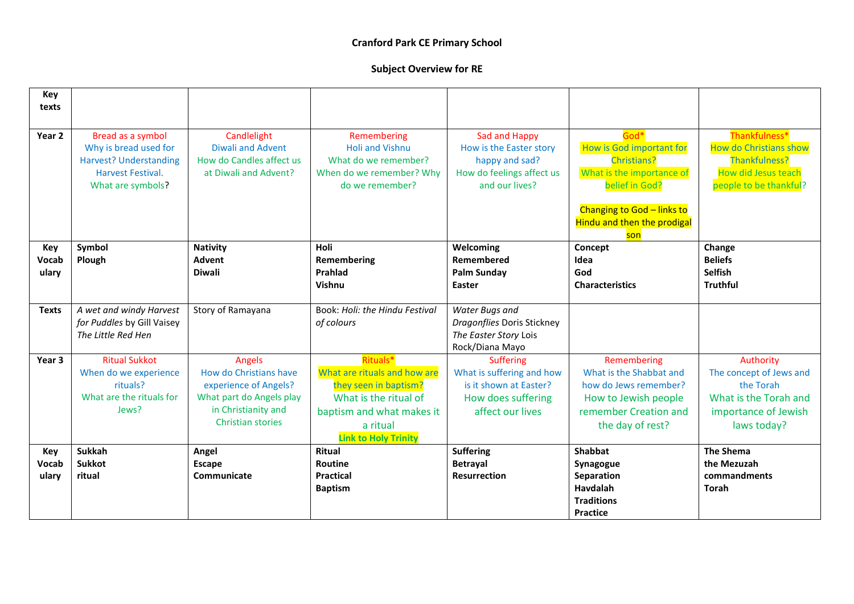| Key<br>texts |                                                                                                                              |                                                                                              |                                                                                                              |                                                                                                           |                                                                                                                                                                                  |                                                                                                                                |
|--------------|------------------------------------------------------------------------------------------------------------------------------|----------------------------------------------------------------------------------------------|--------------------------------------------------------------------------------------------------------------|-----------------------------------------------------------------------------------------------------------|----------------------------------------------------------------------------------------------------------------------------------------------------------------------------------|--------------------------------------------------------------------------------------------------------------------------------|
| Year 2       | Bread as a symbol<br>Why is bread used for<br><b>Harvest? Understanding</b><br><b>Harvest Festival.</b><br>What are symbols? | Candlelight<br><b>Diwali and Advent</b><br>How do Candles affect us<br>at Diwali and Advent? | Remembering<br><b>Holi and Vishnu</b><br>What do we remember?<br>When do we remember? Why<br>do we remember? | Sad and Happy<br>How is the Easter story<br>happy and sad?<br>How do feelings affect us<br>and our lives? | God*<br>How is God important for<br><b>Christians?</b><br>What is the importance of<br>belief in God?<br>Changing to God - links to<br><b>Hindu and then the prodigal</b><br>son | Thankfulness*<br><b>How do Christians show</b><br><b>Thankfulness?</b><br><b>How did Jesus teach</b><br>people to be thankful? |
| Key          | Symbol                                                                                                                       | <b>Nativity</b>                                                                              | Holi                                                                                                         | Welcoming                                                                                                 | Concept                                                                                                                                                                          | Change                                                                                                                         |
| Vocab        | Plough                                                                                                                       | <b>Advent</b>                                                                                | Remembering                                                                                                  | Remembered                                                                                                | Idea                                                                                                                                                                             | <b>Beliefs</b>                                                                                                                 |
| ulary        |                                                                                                                              | <b>Diwali</b>                                                                                | Prahlad                                                                                                      | <b>Palm Sunday</b>                                                                                        | God                                                                                                                                                                              | <b>Selfish</b>                                                                                                                 |
|              |                                                                                                                              |                                                                                              | Vishnu                                                                                                       | Easter                                                                                                    | <b>Characteristics</b>                                                                                                                                                           | <b>Truthful</b>                                                                                                                |
| <b>Texts</b> | A wet and windy Harvest                                                                                                      | Story of Ramayana                                                                            | Book: Holi: the Hindu Festival                                                                               | Water Bugs and                                                                                            |                                                                                                                                                                                  |                                                                                                                                |
|              | for Puddles by Gill Vaisey                                                                                                   |                                                                                              | of colours                                                                                                   | Dragonflies Doris Stickney                                                                                |                                                                                                                                                                                  |                                                                                                                                |
|              | The Little Red Hen                                                                                                           |                                                                                              |                                                                                                              | The Easter Story Lois                                                                                     |                                                                                                                                                                                  |                                                                                                                                |
|              |                                                                                                                              |                                                                                              |                                                                                                              | Rock/Diana Mayo                                                                                           |                                                                                                                                                                                  |                                                                                                                                |
| Year 3       | <b>Ritual Sukkot</b>                                                                                                         | <b>Angels</b>                                                                                | Rituals*                                                                                                     | <b>Suffering</b>                                                                                          | Remembering                                                                                                                                                                      | Authority                                                                                                                      |
|              | When do we experience                                                                                                        | How do Christians have                                                                       | What are rituals and how are                                                                                 | What is suffering and how                                                                                 | What is the Shabbat and                                                                                                                                                          | The concept of Jews and                                                                                                        |
|              | rituals?                                                                                                                     | experience of Angels?                                                                        | they seen in baptism?                                                                                        | is it shown at Easter?                                                                                    | how do Jews remember?                                                                                                                                                            | the Torah                                                                                                                      |
|              | What are the rituals for                                                                                                     | What part do Angels play                                                                     | What is the ritual of                                                                                        | How does suffering                                                                                        | How to Jewish people                                                                                                                                                             | What is the Torah and                                                                                                          |
|              | Jews?                                                                                                                        | in Christianity and                                                                          | baptism and what makes it                                                                                    | affect our lives                                                                                          | remember Creation and                                                                                                                                                            | importance of Jewish                                                                                                           |
|              |                                                                                                                              | <b>Christian stories</b>                                                                     | a ritual                                                                                                     |                                                                                                           | the day of rest?                                                                                                                                                                 | laws today?                                                                                                                    |
|              |                                                                                                                              |                                                                                              | <b>Link to Holy Trinity</b>                                                                                  |                                                                                                           |                                                                                                                                                                                  |                                                                                                                                |
| Key          | <b>Sukkah</b>                                                                                                                | Angel                                                                                        | <b>Ritual</b>                                                                                                | <b>Suffering</b>                                                                                          | Shabbat                                                                                                                                                                          | <b>The Shema</b>                                                                                                               |
| Vocab        | Sukkot                                                                                                                       | <b>Escape</b>                                                                                | <b>Routine</b>                                                                                               | <b>Betrayal</b>                                                                                           | Synagogue                                                                                                                                                                        | the Mezuzah                                                                                                                    |
| ulary        | ritual                                                                                                                       | Communicate                                                                                  | <b>Practical</b>                                                                                             | <b>Resurrection</b>                                                                                       | Separation                                                                                                                                                                       | commandments                                                                                                                   |
|              |                                                                                                                              |                                                                                              | <b>Baptism</b>                                                                                               |                                                                                                           | Havdalah<br><b>Traditions</b>                                                                                                                                                    | Torah                                                                                                                          |
|              |                                                                                                                              |                                                                                              |                                                                                                              |                                                                                                           | <b>Practice</b>                                                                                                                                                                  |                                                                                                                                |
|              |                                                                                                                              |                                                                                              |                                                                                                              |                                                                                                           |                                                                                                                                                                                  |                                                                                                                                |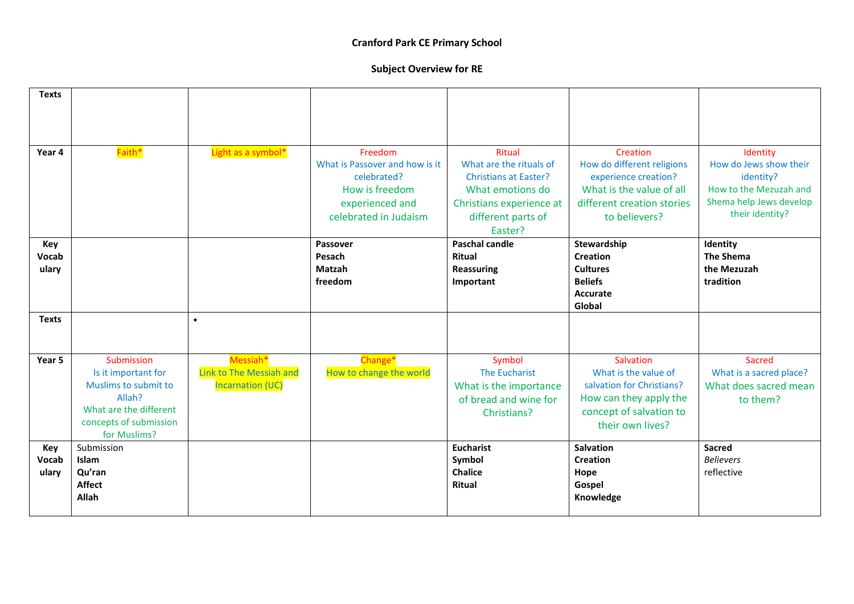| <b>Texts</b>          |                                                                                                                                         |                                                                |                                                                                                                        |                                                                                                                                                           |                                                                                                                                           |                                                                                                                         |
|-----------------------|-----------------------------------------------------------------------------------------------------------------------------------------|----------------------------------------------------------------|------------------------------------------------------------------------------------------------------------------------|-----------------------------------------------------------------------------------------------------------------------------------------------------------|-------------------------------------------------------------------------------------------------------------------------------------------|-------------------------------------------------------------------------------------------------------------------------|
| Year 4                | Faith*                                                                                                                                  | Light as a symbol*                                             | Freedom<br>What is Passover and how is it<br>celebrated?<br>How is freedom<br>experienced and<br>celebrated in Judaism | <b>Ritual</b><br>What are the rituals of<br><b>Christians at Easter?</b><br>What emotions do<br>Christians experience at<br>different parts of<br>Easter? | Creation<br>How do different religions<br>experience creation?<br>What is the value of all<br>different creation stories<br>to believers? | Identity<br>How do Jews show their<br>identity?<br>How to the Mezuzah and<br>Shema help Jews develop<br>their identity? |
| Key<br>Vocab<br>ulary |                                                                                                                                         |                                                                | Passover<br>Pesach<br>Matzah<br>freedom                                                                                | <b>Paschal candle</b><br><b>Ritual</b><br><b>Reassuring</b><br>Important                                                                                  | Stewardship<br><b>Creation</b><br><b>Cultures</b><br><b>Beliefs</b><br>Accurate<br>Global                                                 | Identity<br><b>The Shema</b><br>the Mezuzah<br>tradition                                                                |
| <b>Texts</b>          |                                                                                                                                         | $\bullet$                                                      |                                                                                                                        |                                                                                                                                                           |                                                                                                                                           |                                                                                                                         |
| Year 5                | Submission<br>Is it important for<br>Muslims to submit to<br>Allah?<br>What are the different<br>concepts of submission<br>for Muslims? | Messiah*<br>Link to The Messiah and<br><b>Incarnation (UC)</b> | Change*<br>How to change the world                                                                                     | Symbol<br>The Eucharist<br>What is the importance<br>of bread and wine for<br>Christians?                                                                 | Salvation<br>What is the value of<br>salvation for Christians?<br>How can they apply the<br>concept of salvation to<br>their own lives?   | Sacred<br>What is a sacred place?<br>What does sacred mean<br>to them?                                                  |
| Key<br>Vocab<br>ulary | Submission<br><b>Islam</b><br>Qu'ran<br><b>Affect</b><br>Allah                                                                          |                                                                |                                                                                                                        | <b>Eucharist</b><br>Symbol<br><b>Chalice</b><br><b>Ritual</b>                                                                                             | <b>Salvation</b><br>Creation<br>Hope<br>Gospel<br>Knowledge                                                                               | <b>Sacred</b><br><b>Believers</b><br>reflective                                                                         |